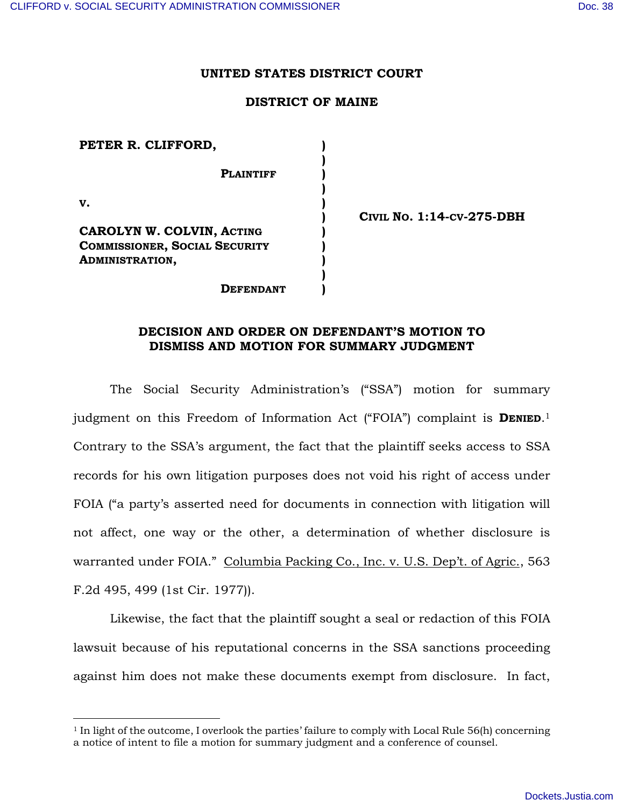## **UNITED STATES DISTRICT COURT**

## **DISTRICT OF MAINE**

| PETER R. CLIFFORD,                   |  |
|--------------------------------------|--|
|                                      |  |
| <b>PLAINTIFF</b>                     |  |
|                                      |  |
| v.                                   |  |
|                                      |  |
| CAROLYN W. COLVIN, ACTING            |  |
| <b>COMMISSIONER, SOCIAL SECURITY</b> |  |
| <b>ADMINISTRATION,</b>               |  |
|                                      |  |
| <b>EFENDANT</b>                      |  |

l

**CIVIL NO. 1:14-CV-275-DBH** 

## **DECISION AND ORDER ON DEFENDANT'S MOTION TO DISMISS AND MOTION FOR SUMMARY JUDGMENT**

The Social Security Administration's ("SSA") motion for summary judgment on this Freedom of Information Act ("FOIA") complaint is **DENIED**. 1 Contrary to the SSA's argument, the fact that the plaintiff seeks access to SSA records for his own litigation purposes does not void his right of access under FOIA ("a party's asserted need for documents in connection with litigation will not affect, one way or the other, a determination of whether disclosure is warranted under FOIA." Columbia Packing Co., Inc. v. U.S. Dep't. of Agric., 563 F.2d 495, 499 (1st Cir. 1977)).

Likewise, the fact that the plaintiff sought a seal or redaction of this FOIA lawsuit because of his reputational concerns in the SSA sanctions proceeding against him does not make these documents exempt from disclosure. In fact,

 $1$  In light of the outcome, I overlook the parties' failure to comply with Local Rule 56(h) concerning a notice of intent to file a motion for summary judgment and a conference of counsel.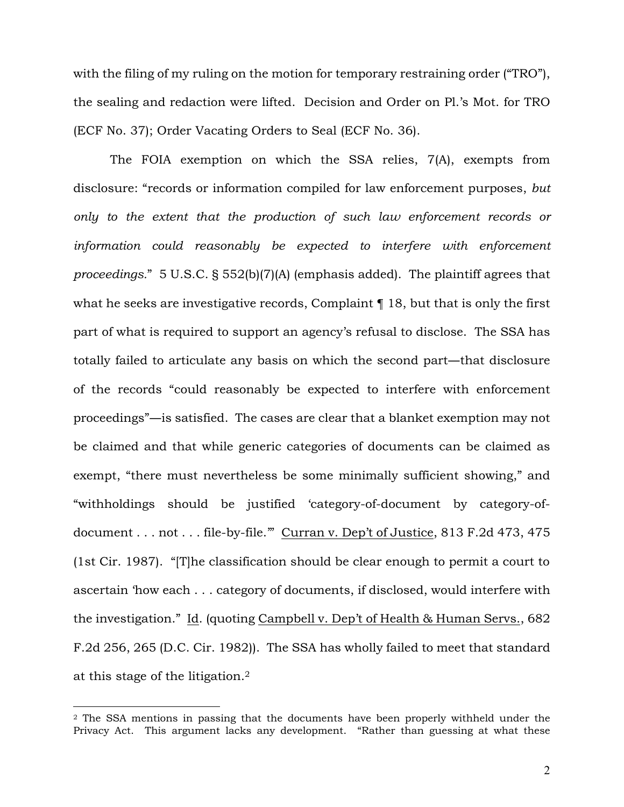with the filing of my ruling on the motion for temporary restraining order ("TRO"), the sealing and redaction were lifted. Decision and Order on Pl.'s Mot. for TRO (ECF No. 37); Order Vacating Orders to Seal (ECF No. 36).

The FOIA exemption on which the SSA relies, 7(A), exempts from disclosure: "records or information compiled for law enforcement purposes, *but only to the extent that the production of such law enforcement records or*  information could reasonably be expected to interfere with enforcement *proceedings.*" 5 U.S.C. § 552(b)(7)(A) (emphasis added). The plaintiff agrees that what he seeks are investigative records, Complaint  $\P$  18, but that is only the first part of what is required to support an agency's refusal to disclose. The SSA has totally failed to articulate any basis on which the second part―that disclosure of the records "could reasonably be expected to interfere with enforcement proceedings"**―**is satisfied. The cases are clear that a blanket exemption may not be claimed and that while generic categories of documents can be claimed as exempt, "there must nevertheless be some minimally sufficient showing," and "withholdings should be justified 'category-of-document by category-ofdocument . . . not . . . file-by-file.'" Curran v. Dep't of Justice, 813 F.2d 473, 475 (1st Cir. 1987). "[T]he classification should be clear enough to permit a court to ascertain 'how each . . . category of documents, if disclosed, would interfere with the investigation." Id. (quoting Campbell v. Dep't of Health & Human Servs., 682 F.2d 256, 265 (D.C. Cir. 1982)). The SSA has wholly failed to meet that standard at this stage of the litigation.<sup>2</sup>

 $\overline{a}$ 

<sup>2</sup> The SSA mentions in passing that the documents have been properly withheld under the Privacy Act. This argument lacks any development. "Rather than guessing at what these